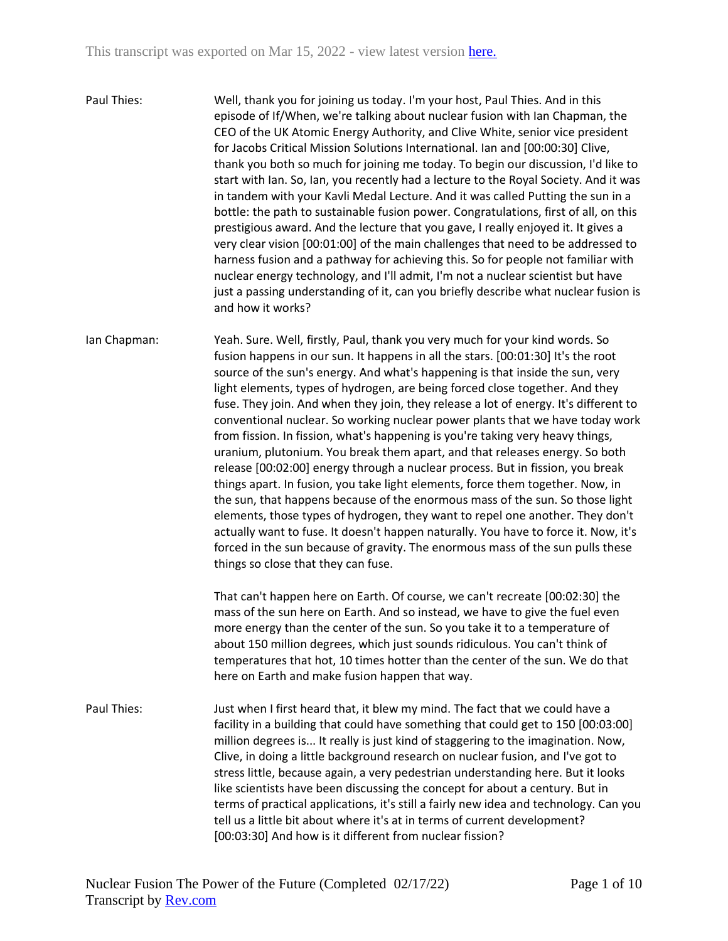Paul Thies: Well, thank you for joining us today. I'm your host, Paul Thies. And in this episode of If/When, we're talking about nuclear fusion with Ian Chapman, the CEO of the UK Atomic Energy Authority, and Clive White, senior vice president for Jacobs Critical Mission Solutions International. Ian and [00:00:30] Clive, thank you both so much for joining me today. To begin our discussion, I'd like to start with Ian. So, Ian, you recently had a lecture to the Royal Society. And it was in tandem with your Kavli Medal Lecture. And it was called Putting the sun in a bottle: the path to sustainable fusion power. Congratulations, first of all, on this prestigious award. And the lecture that you gave, I really enjoyed it. It gives a very clear vision [00:01:00] of the main challenges that need to be addressed to harness fusion and a pathway for achieving this. So for people not familiar with nuclear energy technology, and I'll admit, I'm not a nuclear scientist but have just a passing understanding of it, can you briefly describe what nuclear fusion is and how it works?

Ian Chapman: Yeah. Sure. Well, firstly, Paul, thank you very much for your kind words. So fusion happens in our sun. It happens in all the stars. [00:01:30] It's the root source of the sun's energy. And what's happening is that inside the sun, very light elements, types of hydrogen, are being forced close together. And they fuse. They join. And when they join, they release a lot of energy. It's different to conventional nuclear. So working nuclear power plants that we have today work from fission. In fission, what's happening is you're taking very heavy things, uranium, plutonium. You break them apart, and that releases energy. So both release [00:02:00] energy through a nuclear process. But in fission, you break things apart. In fusion, you take light elements, force them together. Now, in the sun, that happens because of the enormous mass of the sun. So those light elements, those types of hydrogen, they want to repel one another. They don't actually want to fuse. It doesn't happen naturally. You have to force it. Now, it's forced in the sun because of gravity. The enormous mass of the sun pulls these things so close that they can fuse.

> That can't happen here on Earth. Of course, we can't recreate [00:02:30] the mass of the sun here on Earth. And so instead, we have to give the fuel even more energy than the center of the sun. So you take it to a temperature of about 150 million degrees, which just sounds ridiculous. You can't think of temperatures that hot, 10 times hotter than the center of the sun. We do that here on Earth and make fusion happen that way.

Paul Thies: Just when I first heard that, it blew my mind. The fact that we could have a facility in a building that could have something that could get to 150 [00:03:00] million degrees is... It really is just kind of staggering to the imagination. Now, Clive, in doing a little background research on nuclear fusion, and I've got to stress little, because again, a very pedestrian understanding here. But it looks like scientists have been discussing the concept for about a century. But in terms of practical applications, it's still a fairly new idea and technology. Can you tell us a little bit about where it's at in terms of current development? [00:03:30] And how is it different from nuclear fission?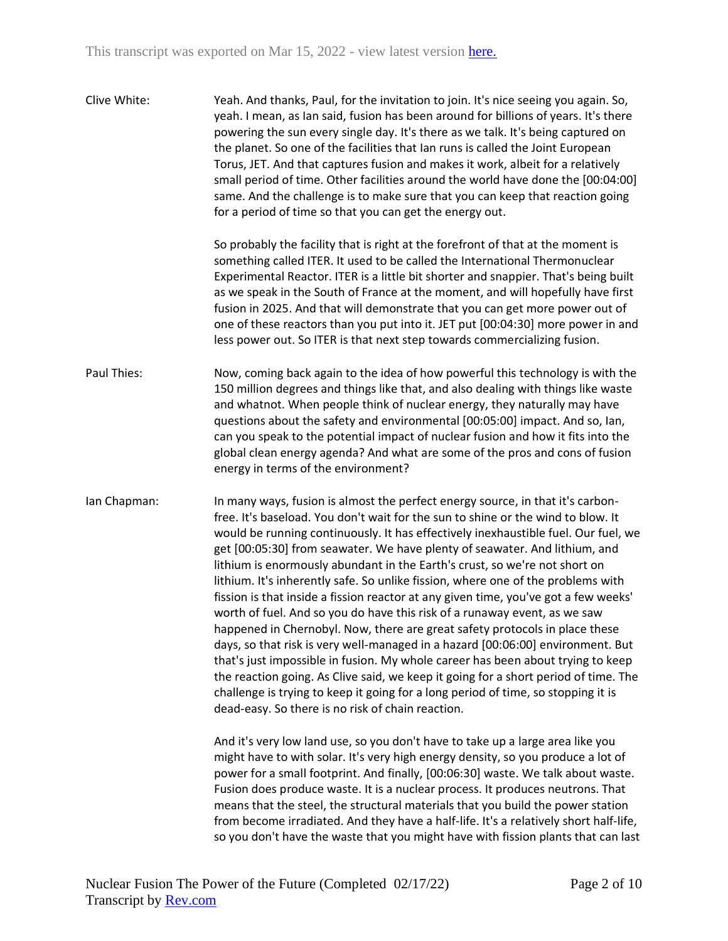| Clive White: | Yeah. And thanks, Paul, for the invitation to join. It's nice seeing you again. So,<br>yeah. I mean, as Ian said, fusion has been around for billions of years. It's there<br>powering the sun every single day. It's there as we talk. It's being captured on<br>the planet. So one of the facilities that Ian runs is called the Joint European<br>Torus, JET. And that captures fusion and makes it work, albeit for a relatively<br>small period of time. Other facilities around the world have done the [00:04:00]<br>same. And the challenge is to make sure that you can keep that reaction going<br>for a period of time so that you can get the energy out.                                                                                                                                                                                                                                                                                                                                                                                                                                                                                              |
|--------------|--------------------------------------------------------------------------------------------------------------------------------------------------------------------------------------------------------------------------------------------------------------------------------------------------------------------------------------------------------------------------------------------------------------------------------------------------------------------------------------------------------------------------------------------------------------------------------------------------------------------------------------------------------------------------------------------------------------------------------------------------------------------------------------------------------------------------------------------------------------------------------------------------------------------------------------------------------------------------------------------------------------------------------------------------------------------------------------------------------------------------------------------------------------------|
|              | So probably the facility that is right at the forefront of that at the moment is<br>something called ITER. It used to be called the International Thermonuclear<br>Experimental Reactor. ITER is a little bit shorter and snappier. That's being built<br>as we speak in the South of France at the moment, and will hopefully have first<br>fusion in 2025. And that will demonstrate that you can get more power out of<br>one of these reactors than you put into it. JET put [00:04:30] more power in and<br>less power out. So ITER is that next step towards commercializing fusion.                                                                                                                                                                                                                                                                                                                                                                                                                                                                                                                                                                         |
| Paul Thies:  | Now, coming back again to the idea of how powerful this technology is with the<br>150 million degrees and things like that, and also dealing with things like waste<br>and whatnot. When people think of nuclear energy, they naturally may have<br>questions about the safety and environmental [00:05:00] impact. And so, lan,<br>can you speak to the potential impact of nuclear fusion and how it fits into the<br>global clean energy agenda? And what are some of the pros and cons of fusion<br>energy in terms of the environment?                                                                                                                                                                                                                                                                                                                                                                                                                                                                                                                                                                                                                        |
| Ian Chapman: | In many ways, fusion is almost the perfect energy source, in that it's carbon-<br>free. It's baseload. You don't wait for the sun to shine or the wind to blow. It<br>would be running continuously. It has effectively inexhaustible fuel. Our fuel, we<br>get [00:05:30] from seawater. We have plenty of seawater. And lithium, and<br>lithium is enormously abundant in the Earth's crust, so we're not short on<br>lithium. It's inherently safe. So unlike fission, where one of the problems with<br>fission is that inside a fission reactor at any given time, you've got a few weeks'<br>worth of fuel. And so you do have this risk of a runaway event, as we saw<br>happened in Chernobyl. Now, there are great safety protocols in place these<br>days, so that risk is very well-managed in a hazard [00:06:00] environment. But<br>that's just impossible in fusion. My whole career has been about trying to keep<br>the reaction going. As Clive said, we keep it going for a short period of time. The<br>challenge is trying to keep it going for a long period of time, so stopping it is<br>dead-easy. So there is no risk of chain reaction. |
|              | And it's very low land use, so you don't have to take up a large area like you<br>might have to with solar. It's very high energy density, so you produce a lot of<br>power for a small footprint. And finally, [00:06:30] waste. We talk about waste.<br>Fusion does produce waste. It is a nuclear process. It produces neutrons. That<br>means that the steel, the structural materials that you build the power station<br>from become irradiated. And they have a half-life. It's a relatively short half-life,<br>so you don't have the waste that you might have with fission plants that can last                                                                                                                                                                                                                                                                                                                                                                                                                                                                                                                                                          |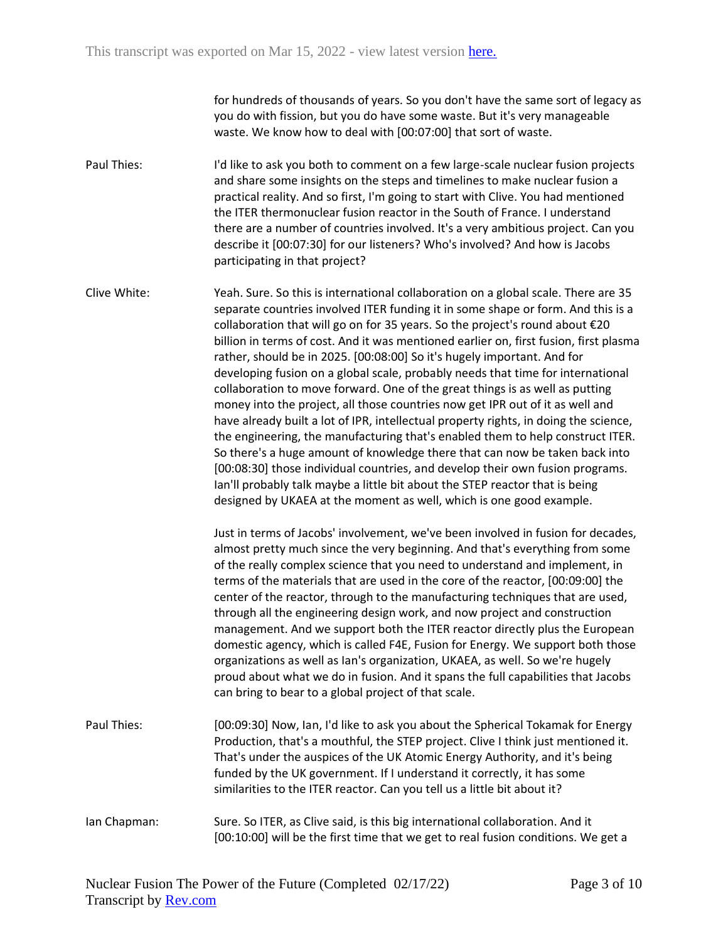for hundreds of thousands of years. So you don't have the same sort of legacy as you do with fission, but you do have some waste. But it's very manageable waste. We know how to deal with [00:07:00] that sort of waste.

Paul Thies: I'd like to ask you both to comment on a few large-scale nuclear fusion projects and share some insights on the steps and timelines to make nuclear fusion a practical reality. And so first, I'm going to start with Clive. You had mentioned the ITER thermonuclear fusion reactor in the South of France. I understand there are a number of countries involved. It's a very ambitious project. Can you describe it [00:07:30] for our listeners? Who's involved? And how is Jacobs participating in that project?

Clive White: Yeah. Sure. So this is international collaboration on a global scale. There are 35 separate countries involved ITER funding it in some shape or form. And this is a collaboration that will go on for 35 years. So the project's round about €20 billion in terms of cost. And it was mentioned earlier on, first fusion, first plasma rather, should be in 2025. [00:08:00] So it's hugely important. And for developing fusion on a global scale, probably needs that time for international collaboration to move forward. One of the great things is as well as putting money into the project, all those countries now get IPR out of it as well and have already built a lot of IPR, intellectual property rights, in doing the science, the engineering, the manufacturing that's enabled them to help construct ITER. So there's a huge amount of knowledge there that can now be taken back into [00:08:30] those individual countries, and develop their own fusion programs. Ian'll probably talk maybe a little bit about the STEP reactor that is being designed by UKAEA at the moment as well, which is one good example.

> Just in terms of Jacobs' involvement, we've been involved in fusion for decades, almost pretty much since the very beginning. And that's everything from some of the really complex science that you need to understand and implement, in terms of the materials that are used in the core of the reactor, [00:09:00] the center of the reactor, through to the manufacturing techniques that are used, through all the engineering design work, and now project and construction management. And we support both the ITER reactor directly plus the European domestic agency, which is called F4E, Fusion for Energy. We support both those organizations as well as Ian's organization, UKAEA, as well. So we're hugely proud about what we do in fusion. And it spans the full capabilities that Jacobs can bring to bear to a global project of that scale.

- Paul Thies: [00:09:30] Now, Ian, I'd like to ask you about the Spherical Tokamak for Energy Production, that's a mouthful, the STEP project. Clive I think just mentioned it. That's under the auspices of the UK Atomic Energy Authority, and it's being funded by the UK government. If I understand it correctly, it has some similarities to the ITER reactor. Can you tell us a little bit about it?
- Ian Chapman: Sure. So ITER, as Clive said, is this big international collaboration. And it [00:10:00] will be the first time that we get to real fusion conditions. We get a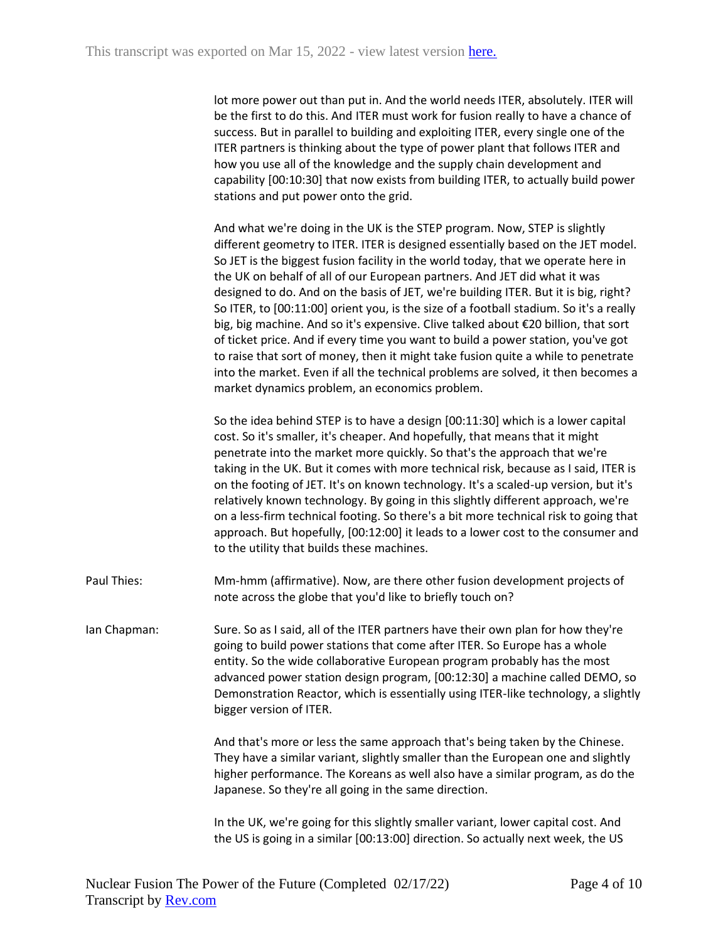lot more power out than put in. And the world needs ITER, absolutely. ITER will be the first to do this. And ITER must work for fusion really to have a chance of success. But in parallel to building and exploiting ITER, every single one of the ITER partners is thinking about the type of power plant that follows ITER and how you use all of the knowledge and the supply chain development and capability [00:10:30] that now exists from building ITER, to actually build power stations and put power onto the grid.

And what we're doing in the UK is the STEP program. Now, STEP is slightly different geometry to ITER. ITER is designed essentially based on the JET model. So JET is the biggest fusion facility in the world today, that we operate here in the UK on behalf of all of our European partners. And JET did what it was designed to do. And on the basis of JET, we're building ITER. But it is big, right? So ITER, to [00:11:00] orient you, is the size of a football stadium. So it's a really big, big machine. And so it's expensive. Clive talked about €20 billion, that sort of ticket price. And if every time you want to build a power station, you've got to raise that sort of money, then it might take fusion quite a while to penetrate into the market. Even if all the technical problems are solved, it then becomes a market dynamics problem, an economics problem.

So the idea behind STEP is to have a design [00:11:30] which is a lower capital cost. So it's smaller, it's cheaper. And hopefully, that means that it might penetrate into the market more quickly. So that's the approach that we're taking in the UK. But it comes with more technical risk, because as I said, ITER is on the footing of JET. It's on known technology. It's a scaled-up version, but it's relatively known technology. By going in this slightly different approach, we're on a less-firm technical footing. So there's a bit more technical risk to going that approach. But hopefully, [00:12:00] it leads to a lower cost to the consumer and to the utility that builds these machines.

Paul Thies: Mm-hmm (affirmative). Now, are there other fusion development projects of note across the globe that you'd like to briefly touch on?

Ian Chapman: Sure. So as I said, all of the ITER partners have their own plan for how they're going to build power stations that come after ITER. So Europe has a whole entity. So the wide collaborative European program probably has the most advanced power station design program, [00:12:30] a machine called DEMO, so Demonstration Reactor, which is essentially using ITER-like technology, a slightly bigger version of ITER.

> And that's more or less the same approach that's being taken by the Chinese. They have a similar variant, slightly smaller than the European one and slightly higher performance. The Koreans as well also have a similar program, as do the Japanese. So they're all going in the same direction.

In the UK, we're going for this slightly smaller variant, lower capital cost. And the US is going in a similar [00:13:00] direction. So actually next week, the US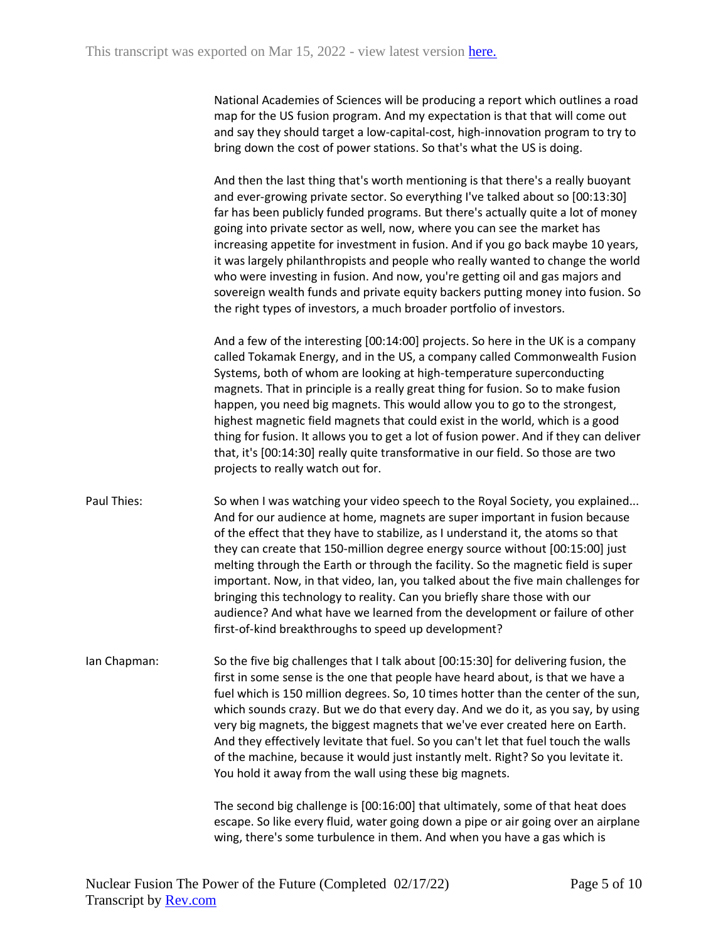National Academies of Sciences will be producing a report which outlines a road map for the US fusion program. And my expectation is that that will come out and say they should target a low-capital-cost, high-innovation program to try to bring down the cost of power stations. So that's what the US is doing.

And then the last thing that's worth mentioning is that there's a really buoyant and ever-growing private sector. So everything I've talked about so [00:13:30] far has been publicly funded programs. But there's actually quite a lot of money going into private sector as well, now, where you can see the market has increasing appetite for investment in fusion. And if you go back maybe 10 years, it was largely philanthropists and people who really wanted to change the world who were investing in fusion. And now, you're getting oil and gas majors and sovereign wealth funds and private equity backers putting money into fusion. So the right types of investors, a much broader portfolio of investors.

And a few of the interesting [00:14:00] projects. So here in the UK is a company called Tokamak Energy, and in the US, a company called Commonwealth Fusion Systems, both of whom are looking at high-temperature superconducting magnets. That in principle is a really great thing for fusion. So to make fusion happen, you need big magnets. This would allow you to go to the strongest, highest magnetic field magnets that could exist in the world, which is a good thing for fusion. It allows you to get a lot of fusion power. And if they can deliver that, it's [00:14:30] really quite transformative in our field. So those are two projects to really watch out for.

- Paul Thies: So when I was watching your video speech to the Royal Society, you explained... And for our audience at home, magnets are super important in fusion because of the effect that they have to stabilize, as I understand it, the atoms so that they can create that 150-million degree energy source without [00:15:00] just melting through the Earth or through the facility. So the magnetic field is super important. Now, in that video, Ian, you talked about the five main challenges for bringing this technology to reality. Can you briefly share those with our audience? And what have we learned from the development or failure of other first-of-kind breakthroughs to speed up development?
- Ian Chapman: So the five big challenges that I talk about [00:15:30] for delivering fusion, the first in some sense is the one that people have heard about, is that we have a fuel which is 150 million degrees. So, 10 times hotter than the center of the sun, which sounds crazy. But we do that every day. And we do it, as you say, by using very big magnets, the biggest magnets that we've ever created here on Earth. And they effectively levitate that fuel. So you can't let that fuel touch the walls of the machine, because it would just instantly melt. Right? So you levitate it. You hold it away from the wall using these big magnets.

The second big challenge is [00:16:00] that ultimately, some of that heat does escape. So like every fluid, water going down a pipe or air going over an airplane wing, there's some turbulence in them. And when you have a gas which is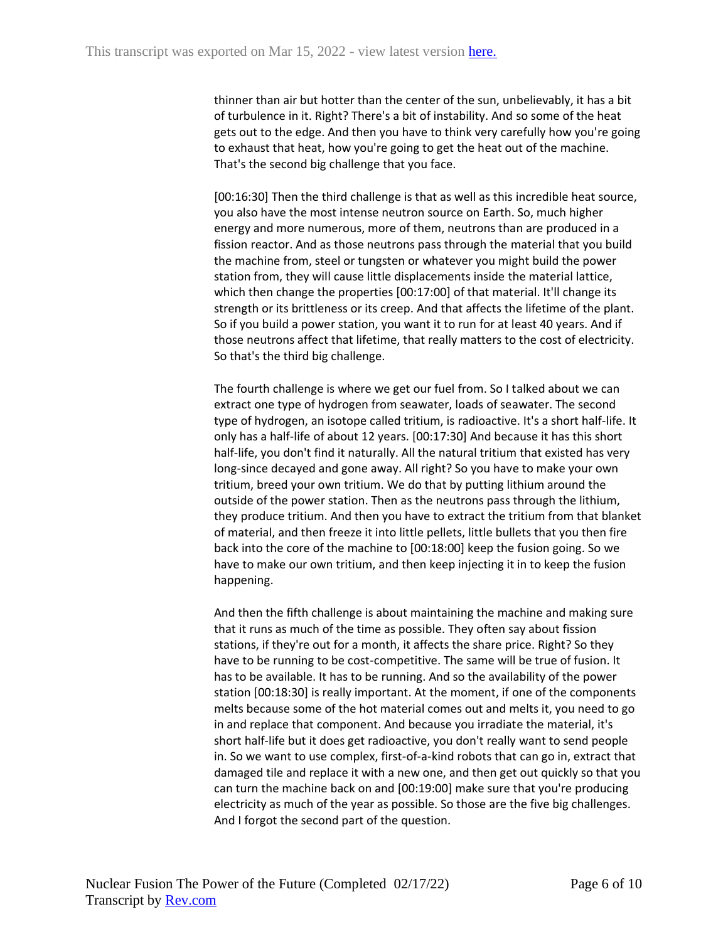thinner than air but hotter than the center of the sun, unbelievably, it has a bit of turbulence in it. Right? There's a bit of instability. And so some of the heat gets out to the edge. And then you have to think very carefully how you're going to exhaust that heat, how you're going to get the heat out of the machine. That's the second big challenge that you face.

[00:16:30] Then the third challenge is that as well as this incredible heat source, you also have the most intense neutron source on Earth. So, much higher energy and more numerous, more of them, neutrons than are produced in a fission reactor. And as those neutrons pass through the material that you build the machine from, steel or tungsten or whatever you might build the power station from, they will cause little displacements inside the material lattice, which then change the properties [00:17:00] of that material. It'll change its strength or its brittleness or its creep. And that affects the lifetime of the plant. So if you build a power station, you want it to run for at least 40 years. And if those neutrons affect that lifetime, that really matters to the cost of electricity. So that's the third big challenge.

The fourth challenge is where we get our fuel from. So I talked about we can extract one type of hydrogen from seawater, loads of seawater. The second type of hydrogen, an isotope called tritium, is radioactive. It's a short half-life. It only has a half-life of about 12 years. [00:17:30] And because it has this short half-life, you don't find it naturally. All the natural tritium that existed has very long-since decayed and gone away. All right? So you have to make your own tritium, breed your own tritium. We do that by putting lithium around the outside of the power station. Then as the neutrons pass through the lithium, they produce tritium. And then you have to extract the tritium from that blanket of material, and then freeze it into little pellets, little bullets that you then fire back into the core of the machine to [00:18:00] keep the fusion going. So we have to make our own tritium, and then keep injecting it in to keep the fusion happening.

And then the fifth challenge is about maintaining the machine and making sure that it runs as much of the time as possible. They often say about fission stations, if they're out for a month, it affects the share price. Right? So they have to be running to be cost-competitive. The same will be true of fusion. It has to be available. It has to be running. And so the availability of the power station [00:18:30] is really important. At the moment, if one of the components melts because some of the hot material comes out and melts it, you need to go in and replace that component. And because you irradiate the material, it's short half-life but it does get radioactive, you don't really want to send people in. So we want to use complex, first-of-a-kind robots that can go in, extract that damaged tile and replace it with a new one, and then get out quickly so that you can turn the machine back on and [00:19:00] make sure that you're producing electricity as much of the year as possible. So those are the five big challenges. And I forgot the second part of the question.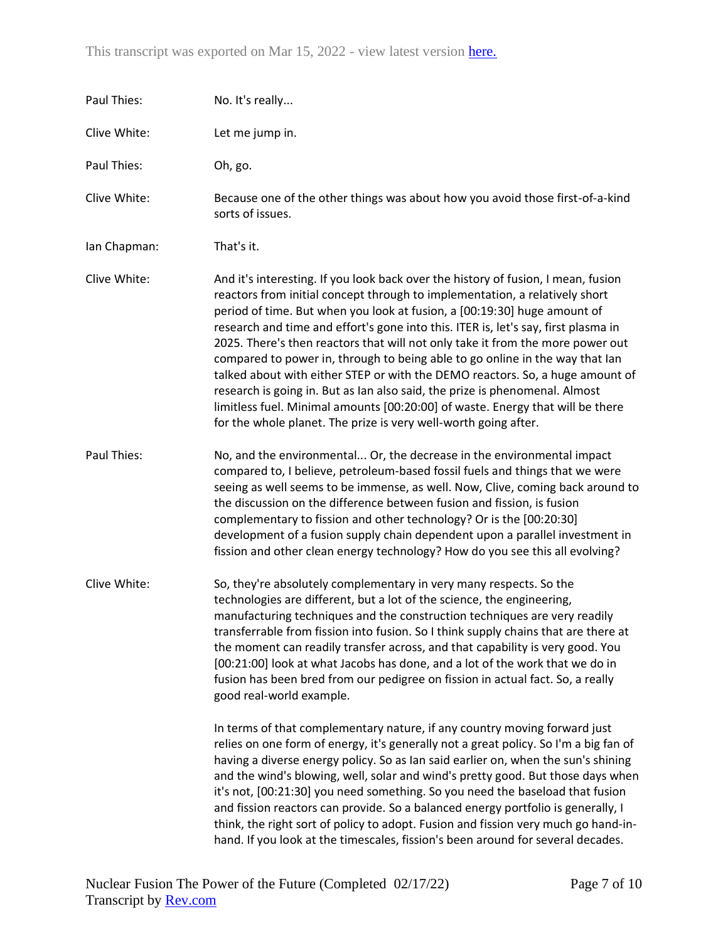| Paul Thies:  | No. It's really                                                                                                                                                                                                                                                                                                                                                                                                                                                                                                                                                                                                                                                                                                                                                                                                           |
|--------------|---------------------------------------------------------------------------------------------------------------------------------------------------------------------------------------------------------------------------------------------------------------------------------------------------------------------------------------------------------------------------------------------------------------------------------------------------------------------------------------------------------------------------------------------------------------------------------------------------------------------------------------------------------------------------------------------------------------------------------------------------------------------------------------------------------------------------|
| Clive White: | Let me jump in.                                                                                                                                                                                                                                                                                                                                                                                                                                                                                                                                                                                                                                                                                                                                                                                                           |
| Paul Thies:  | Oh, go.                                                                                                                                                                                                                                                                                                                                                                                                                                                                                                                                                                                                                                                                                                                                                                                                                   |
| Clive White: | Because one of the other things was about how you avoid those first-of-a-kind<br>sorts of issues.                                                                                                                                                                                                                                                                                                                                                                                                                                                                                                                                                                                                                                                                                                                         |
| Ian Chapman: | That's it.                                                                                                                                                                                                                                                                                                                                                                                                                                                                                                                                                                                                                                                                                                                                                                                                                |
| Clive White: | And it's interesting. If you look back over the history of fusion, I mean, fusion<br>reactors from initial concept through to implementation, a relatively short<br>period of time. But when you look at fusion, a [00:19:30] huge amount of<br>research and time and effort's gone into this. ITER is, let's say, first plasma in<br>2025. There's then reactors that will not only take it from the more power out<br>compared to power in, through to being able to go online in the way that lan<br>talked about with either STEP or with the DEMO reactors. So, a huge amount of<br>research is going in. But as Ian also said, the prize is phenomenal. Almost<br>limitless fuel. Minimal amounts [00:20:00] of waste. Energy that will be there<br>for the whole planet. The prize is very well-worth going after. |
| Paul Thies:  | No, and the environmental Or, the decrease in the environmental impact<br>compared to, I believe, petroleum-based fossil fuels and things that we were<br>seeing as well seems to be immense, as well. Now, Clive, coming back around to<br>the discussion on the difference between fusion and fission, is fusion<br>complementary to fission and other technology? Or is the [00:20:30]<br>development of a fusion supply chain dependent upon a parallel investment in<br>fission and other clean energy technology? How do you see this all evolving?                                                                                                                                                                                                                                                                 |
| Clive White: | So, they're absolutely complementary in very many respects. So the<br>technologies are different, but a lot of the science, the engineering,<br>manufacturing techniques and the construction techniques are very readily<br>transferrable from fission into fusion. So I think supply chains that are there at<br>the moment can readily transfer across, and that capability is very good. You<br>[00:21:00] look at what Jacobs has done, and a lot of the work that we do in<br>fusion has been bred from our pedigree on fission in actual fact. So, a really<br>good real-world example.<br>In terms of that complementary nature, if any country moving forward just                                                                                                                                               |
|              | relies on one form of energy, it's generally not a great policy. So I'm a big fan of<br>having a diverse energy policy. So as lan said earlier on, when the sun's shining<br>and the wind's blowing, well, solar and wind's pretty good. But those days when<br>it's not, [00:21:30] you need something. So you need the baseload that fusion<br>and fission reactors can provide. So a balanced energy portfolio is generally, I<br>think, the right sort of policy to adopt. Fusion and fission very much go hand-in-<br>hand. If you look at the timescales, fission's been around for several decades.                                                                                                                                                                                                                |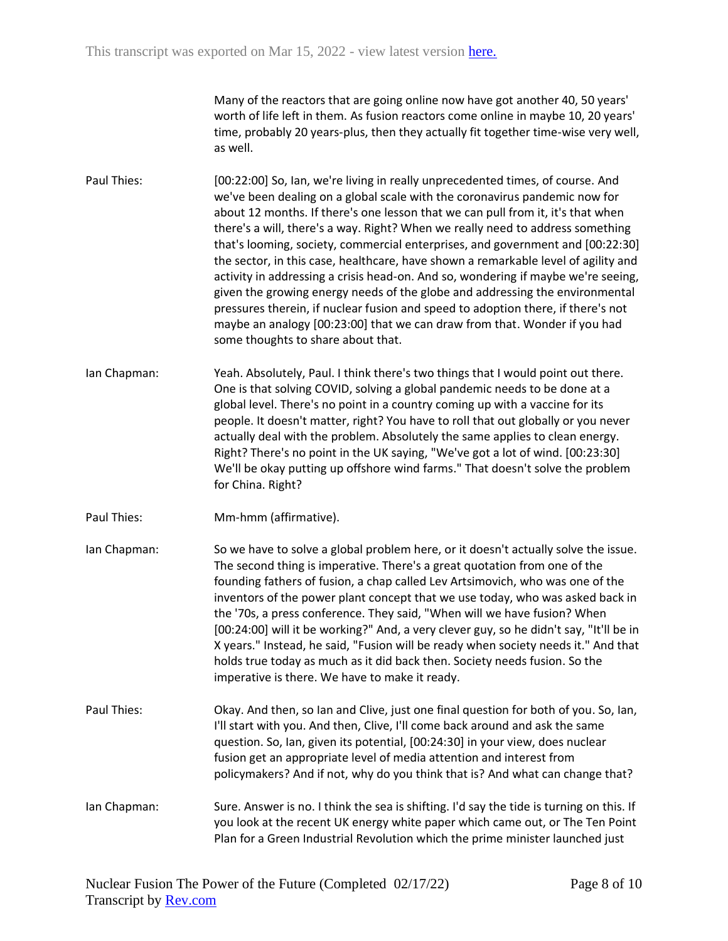Many of the reactors that are going online now have got another 40, 50 years' worth of life left in them. As fusion reactors come online in maybe 10, 20 years' time, probably 20 years-plus, then they actually fit together time-wise very well, as well.

- Paul Thies: [00:22:00] So, Ian, we're living in really unprecedented times, of course. And we've been dealing on a global scale with the coronavirus pandemic now for about 12 months. If there's one lesson that we can pull from it, it's that when there's a will, there's a way. Right? When we really need to address something that's looming, society, commercial enterprises, and government and [00:22:30] the sector, in this case, healthcare, have shown a remarkable level of agility and activity in addressing a crisis head-on. And so, wondering if maybe we're seeing, given the growing energy needs of the globe and addressing the environmental pressures therein, if nuclear fusion and speed to adoption there, if there's not maybe an analogy [00:23:00] that we can draw from that. Wonder if you had some thoughts to share about that.
- Ian Chapman: Yeah. Absolutely, Paul. I think there's two things that I would point out there. One is that solving COVID, solving a global pandemic needs to be done at a global level. There's no point in a country coming up with a vaccine for its people. It doesn't matter, right? You have to roll that out globally or you never actually deal with the problem. Absolutely the same applies to clean energy. Right? There's no point in the UK saying, "We've got a lot of wind. [00:23:30] We'll be okay putting up offshore wind farms." That doesn't solve the problem for China. Right?
- Paul Thies: Mm-hmm (affirmative).
- Ian Chapman: So we have to solve a global problem here, or it doesn't actually solve the issue. The second thing is imperative. There's a great quotation from one of the founding fathers of fusion, a chap called Lev Artsimovich, who was one of the inventors of the power plant concept that we use today, who was asked back in the '70s, a press conference. They said, "When will we have fusion? When [00:24:00] will it be working?" And, a very clever guy, so he didn't say, "It'll be in X years." Instead, he said, "Fusion will be ready when society needs it." And that holds true today as much as it did back then. Society needs fusion. So the imperative is there. We have to make it ready.
- Paul Thies: Okay. And then, so Ian and Clive, just one final question for both of you. So, Ian, I'll start with you. And then, Clive, I'll come back around and ask the same question. So, Ian, given its potential, [00:24:30] in your view, does nuclear fusion get an appropriate level of media attention and interest from policymakers? And if not, why do you think that is? And what can change that?
- Ian Chapman: Sure. Answer is no. I think the sea is shifting. I'd say the tide is turning on this. If you look at the recent UK energy white paper which came out, or The Ten Point Plan for a Green Industrial Revolution which the prime minister launched just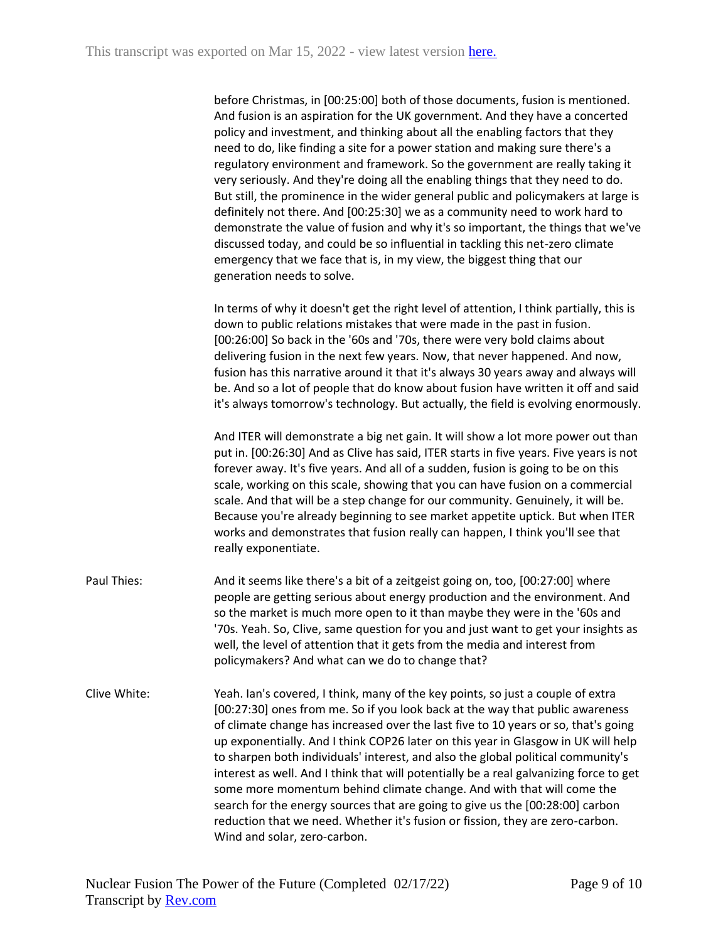| before Christmas, in [00:25:00] both of those documents, fusion is mentioned.      |
|------------------------------------------------------------------------------------|
| And fusion is an aspiration for the UK government. And they have a concerted       |
| policy and investment, and thinking about all the enabling factors that they       |
| need to do, like finding a site for a power station and making sure there's a      |
| regulatory environment and framework. So the government are really taking it       |
| very seriously. And they're doing all the enabling things that they need to do.    |
| But still, the prominence in the wider general public and policymakers at large is |
| definitely not there. And [00:25:30] we as a community need to work hard to        |
| demonstrate the value of fusion and why it's so important, the things that we've   |
| discussed today, and could be so influential in tackling this net-zero climate     |
| emergency that we face that is, in my view, the biggest thing that our             |
| generation needs to solve.                                                         |

In terms of why it doesn't get the right level of attention, I think partially, this is down to public relations mistakes that were made in the past in fusion. [00:26:00] So back in the '60s and '70s, there were very bold claims about delivering fusion in the next few years. Now, that never happened. And now, fusion has this narrative around it that it's always 30 years away and always will be. And so a lot of people that do know about fusion have written it off and said it's always tomorrow's technology. But actually, the field is evolving enormously.

And ITER will demonstrate a big net gain. It will show a lot more power out than put in. [00:26:30] And as Clive has said, ITER starts in five years. Five years is not forever away. It's five years. And all of a sudden, fusion is going to be on this scale, working on this scale, showing that you can have fusion on a commercial scale. And that will be a step change for our community. Genuinely, it will be. Because you're already beginning to see market appetite uptick. But when ITER works and demonstrates that fusion really can happen, I think you'll see that really exponentiate.

- Paul Thies: And it seems like there's a bit of a zeitgeist going on, too, [00:27:00] where people are getting serious about energy production and the environment. And so the market is much more open to it than maybe they were in the '60s and '70s. Yeah. So, Clive, same question for you and just want to get your insights as well, the level of attention that it gets from the media and interest from policymakers? And what can we do to change that?
- Clive White: Yeah. Ian's covered, I think, many of the key points, so just a couple of extra [00:27:30] ones from me. So if you look back at the way that public awareness of climate change has increased over the last five to 10 years or so, that's going up exponentially. And I think COP26 later on this year in Glasgow in UK will help to sharpen both individuals' interest, and also the global political community's interest as well. And I think that will potentially be a real galvanizing force to get some more momentum behind climate change. And with that will come the search for the energy sources that are going to give us the [00:28:00] carbon reduction that we need. Whether it's fusion or fission, they are zero-carbon. Wind and solar, zero-carbon.